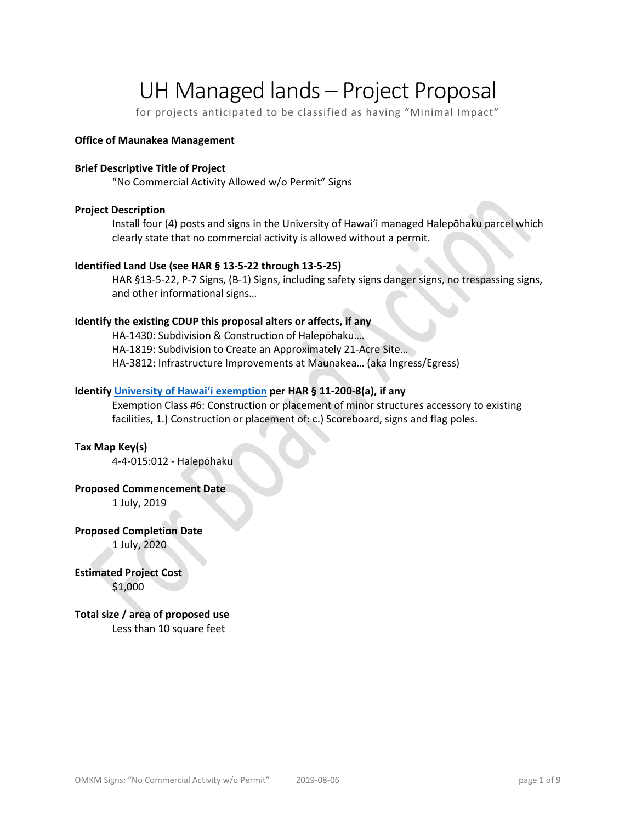# UH Managed lands – Project Proposal

for projects anticipated to be classified as having "Minimal Impact"

#### **Office of Maunakea Management**

#### **Brief Descriptive Title of Project**

"No Commercial Activity Allowed w/o Permit" Signs

#### **Project Description**

Install four (4) posts and signs in the University of Hawaiʻi managed Halepōhaku parcel which clearly state that no commercial activity is allowed without a permit.

#### **Identified Land Use (see HAR § 13-5-22 through 13-5-25)**

HAR §13-5-22, P-7 Signs, (B-1) Signs, including safety signs danger signs, no trespassing signs, and other informational signs…

#### **Identify the existing CDUP this proposal alters or affects, if any**

HA-1430: Subdivision & Construction of Halepōhaku…. HA-1819: Subdivision to Create an Approximately 21-Acre Site… HA-3812: Infrastructure Improvements at Maunakea… (aka Ingress/Egress)

#### **Identify [University of Hawaiʻi exemption](http://oeqc2.doh.hawaii.gov/_layouts/15/start.aspx#/Agency_Exemption_Lists/Forms/AllItems.aspx) per HAR § 11-200-8(a), if any**

Exemption Class #6: Construction or placement of minor structures accessory to existing facilities, 1.) Construction or placement of: c.) Scoreboard, signs and flag poles.

#### **Tax Map Key(s)**

4-4-015:012 - Halepōhaku

#### **Proposed Commencement Date**

1 July, 2019

#### **Proposed Completion Date**

1 July, 2020

#### **Estimated Project Cost** \$1,000

# **Total size / area of proposed use**

Less than 10 square feet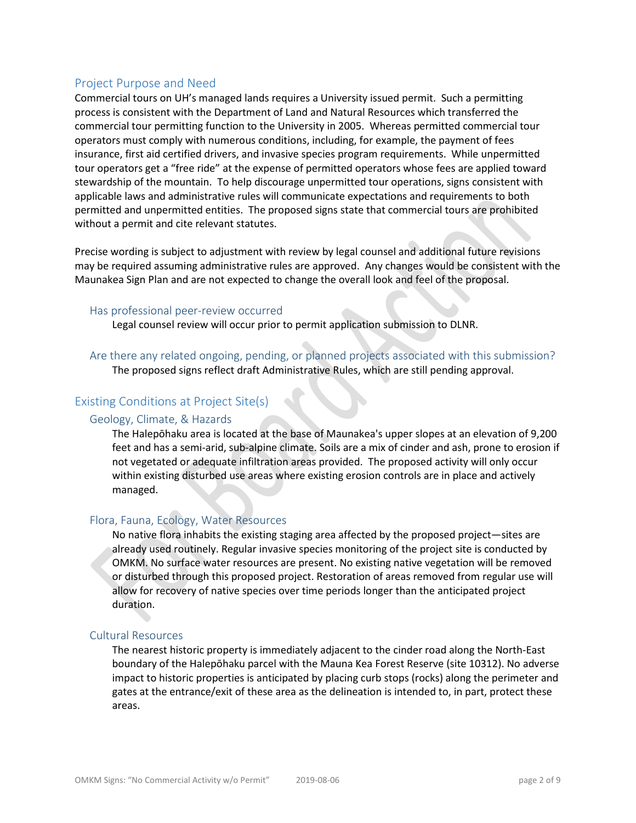# Project Purpose and Need

Commercial tours on UH's managed lands requires a University issued permit. Such a permitting process is consistent with the Department of Land and Natural Resources which transferred the commercial tour permitting function to the University in 2005. Whereas permitted commercial tour operators must comply with numerous conditions, including, for example, the payment of fees insurance, first aid certified drivers, and invasive species program requirements. While unpermitted tour operators get a "free ride" at the expense of permitted operators whose fees are applied toward stewardship of the mountain. To help discourage unpermitted tour operations, signs consistent with applicable laws and administrative rules will communicate expectations and requirements to both permitted and unpermitted entities. The proposed signs state that commercial tours are prohibited without a permit and cite relevant statutes.

Precise wording is subject to adjustment with review by legal counsel and additional future revisions may be required assuming administrative rules are approved. Any changes would be consistent with the Maunakea Sign Plan and are not expected to change the overall look and feel of the proposal.

#### Has professional peer-review occurred

Legal counsel review will occur prior to permit application submission to DLNR.

Are there any related ongoing, pending, or planned projects associated with this submission? The proposed signs reflect draft Administrative Rules, which are still pending approval.

# Existing Conditions at Project Site(s)

#### Geology, Climate, & Hazards

The Halepōhaku area is located at the base of Maunakea's upper slopes at an elevation of 9,200 feet and has a semi-arid, sub-alpine climate. Soils are a mix of cinder and ash, prone to erosion if not vegetated or adequate infiltration areas provided. The proposed activity will only occur within existing disturbed use areas where existing erosion controls are in place and actively managed.

#### Flora, Fauna, Ecology, Water Resources

No native flora inhabits the existing staging area affected by the proposed project—sites are already used routinely. Regular invasive species monitoring of the project site is conducted by OMKM. No surface water resources are present. No existing native vegetation will be removed or disturbed through this proposed project. Restoration of areas removed from regular use will allow for recovery of native species over time periods longer than the anticipated project duration.

#### Cultural Resources

The nearest historic property is immediately adjacent to the cinder road along the North-East boundary of the Halepōhaku parcel with the Mauna Kea Forest Reserve (site 10312). No adverse impact to historic properties is anticipated by placing curb stops (rocks) along the perimeter and gates at the entrance/exit of these area as the delineation is intended to, in part, protect these areas.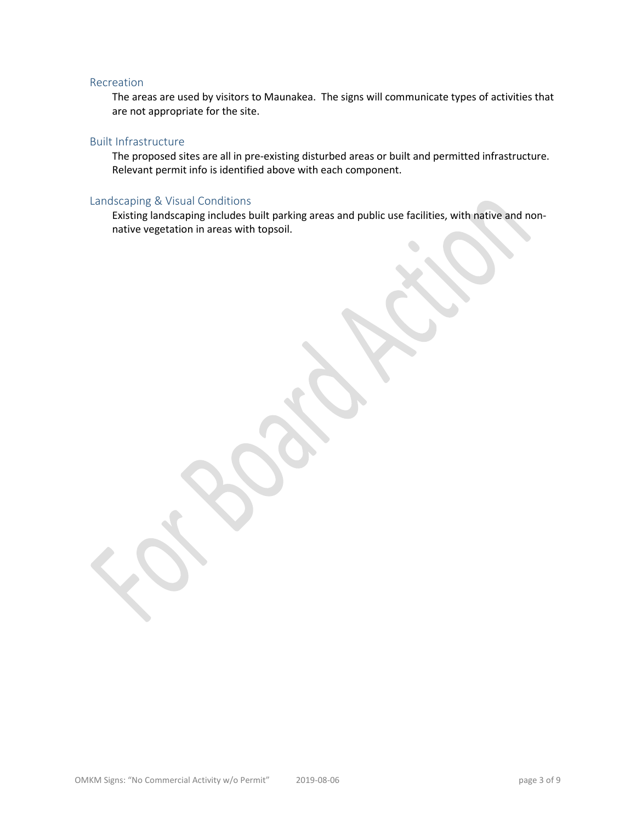#### Recreation

The areas are used by visitors to Maunakea. The signs will communicate types of activities that are not appropriate for the site.

#### Built Infrastructure

The proposed sites are all in pre-existing disturbed areas or built and permitted infrastructure. Relevant permit info is identified above with each component.

#### Landscaping & Visual Conditions

Existing landscaping includes built parking areas and public use facilities, with native and nonnative vegetation in areas with topsoil.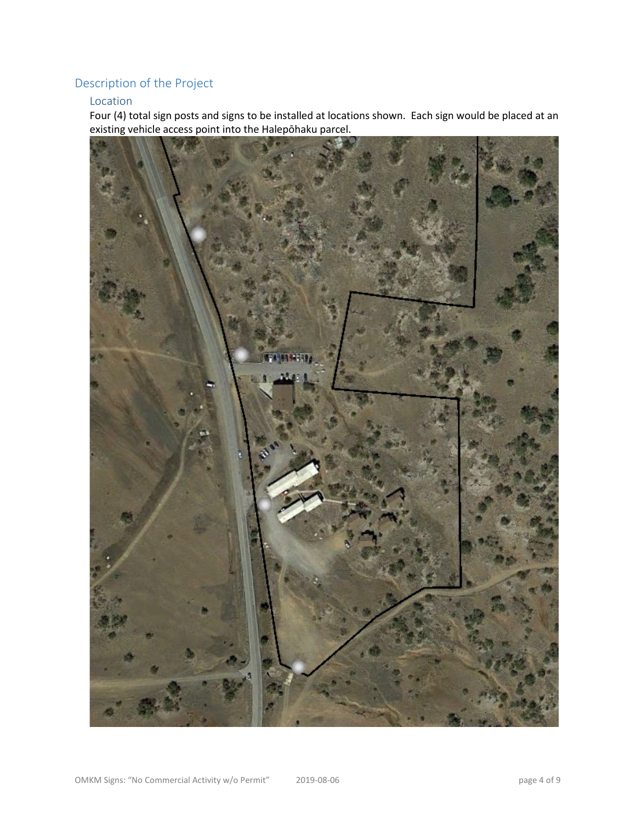# Description of the Project

## Location

Four (4) total sign posts and signs to be installed at locations shown. Each sign would be placed at an existing vehicle access point into the Halepōhaku parcel.

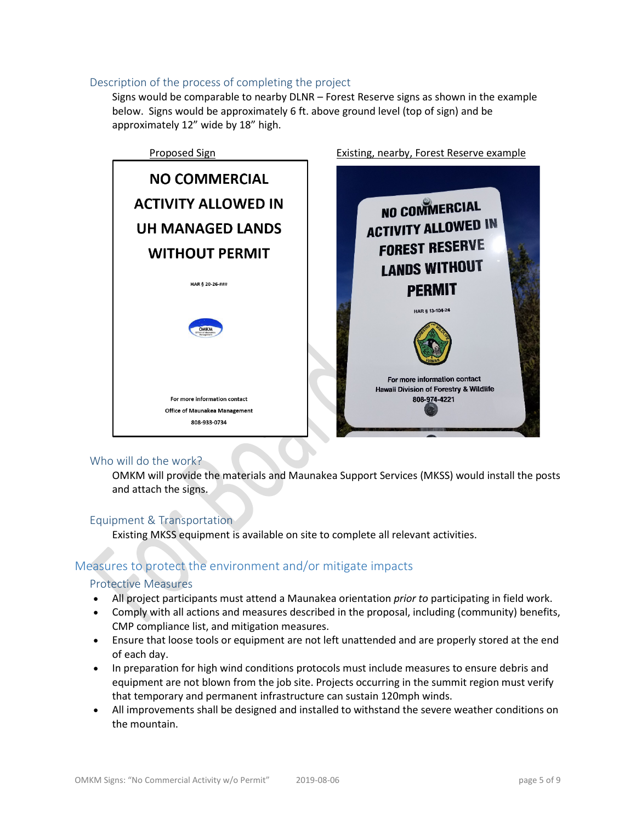#### Description of the process of completing the project

Signs would be comparable to nearby DLNR – Forest Reserve signs as shown in the example below. Signs would be approximately 6 ft. above ground level (top of sign) and be approximately 12" wide by 18" high.



#### Who will do the work?

OMKM will provide the materials and Maunakea Support Services (MKSS) would install the posts and attach the signs.

# Equipment & Transportation

Existing MKSS equipment is available on site to complete all relevant activities.

# Measures to protect the environment and/or mitigate impacts

#### Protective Measures

- All project participants must attend a Maunakea orientation *prior to* participating in field work.
- Comply with all actions and measures described in the proposal, including (community) benefits, CMP compliance list, and mitigation measures.
- Ensure that loose tools or equipment are not left unattended and are properly stored at the end of each day.
- In preparation for high wind conditions protocols must include measures to ensure debris and equipment are not blown from the job site. Projects occurring in the summit region must verify that temporary and permanent infrastructure can sustain 120mph winds.
- All improvements shall be designed and installed to withstand the severe weather conditions on the mountain.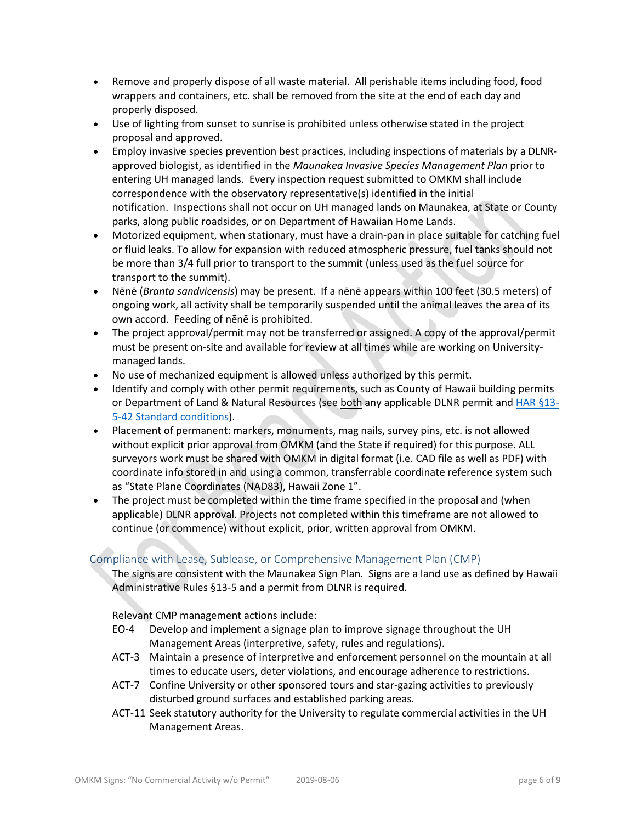- Remove and properly dispose of all waste material. All perishable items including food, food wrappers and containers, etc. shall be removed from the site at the end of each day and properly disposed.
- Use of lighting from sunset to sunrise is prohibited unless otherwise stated in the project proposal and approved.
- Employ invasive species prevention best practices, including inspections of materials by a DLNRapproved biologist, as identified in the *Maunakea Invasive Species Management Plan* prior to entering UH managed lands. Every inspection request submitted to OMKM shall include correspondence with the observatory representative(s) identified in the initial notification. Inspections shall not occur on UH managed lands on Maunakea, at State or County parks, along public roadsides, or on Department of Hawaiian Home Lands.
- Motorized equipment, when stationary, must have a drain-pan in place suitable for catching fuel or fluid leaks. To allow for expansion with reduced atmospheric pressure, fuel tanks should not be more than 3/4 full prior to transport to the summit (unless used as the fuel source for transport to the summit).
- Nēnē (*Branta sandvicensis*) may be present. If a nēnē appears within 100 feet (30.5 meters) of ongoing work, all activity shall be temporarily suspended until the animal leaves the area of its own accord. Feeding of nēnē is prohibited.
- The project approval/permit may not be transferred or assigned. A copy of the approval/permit must be present on-site and available for review at all times while are working on Universitymanaged lands.
- No use of mechanized equipment is allowed unless authorized by this permit.
- Identify and comply with other permit requirements, such as County of Hawaii building permits or Department of Land & Natural Resources (see both any applicable DLNR permit and HAR [§13-](http://dlnr.hawaii.gov/occl/files/2013/08/13-5-2013.pdf#page=47) [5-42 Standard conditions\)](http://dlnr.hawaii.gov/occl/files/2013/08/13-5-2013.pdf#page=47).
- Placement of permanent: markers, monuments, mag nails, survey pins, etc. is not allowed without explicit prior approval from OMKM (and the State if required) for this purpose. ALL surveyors work must be shared with OMKM in digital format (i.e. CAD file as well as PDF) with coordinate info stored in and using a common, transferrable coordinate reference system such as "State Plane Coordinates (NAD83), Hawaii Zone 1".
- The project must be completed within the time frame specified in the proposal and (when applicable) DLNR approval. Projects not completed within this timeframe are not allowed to continue (or commence) without explicit, prior, written approval from OMKM.

# Compliance with Lease, Sublease, or Comprehensive Management Plan (CMP)

The signs are consistent with the Maunakea Sign Plan. Signs are a land use as defined by Hawaii Administrative Rules §13-5 and a permit from DLNR is required.

Relevant CMP management actions include:

- EO-4 Develop and implement a signage plan to improve signage throughout the UH Management Areas (interpretive, safety, rules and regulations).
- ACT-3 Maintain a presence of interpretive and enforcement personnel on the mountain at all times to educate users, deter violations, and encourage adherence to restrictions.
- ACT-7 Confine University or other sponsored tours and star-gazing activities to previously disturbed ground surfaces and established parking areas.
- ACT-11 Seek statutory authority for the University to regulate commercial activities in the UH Management Areas.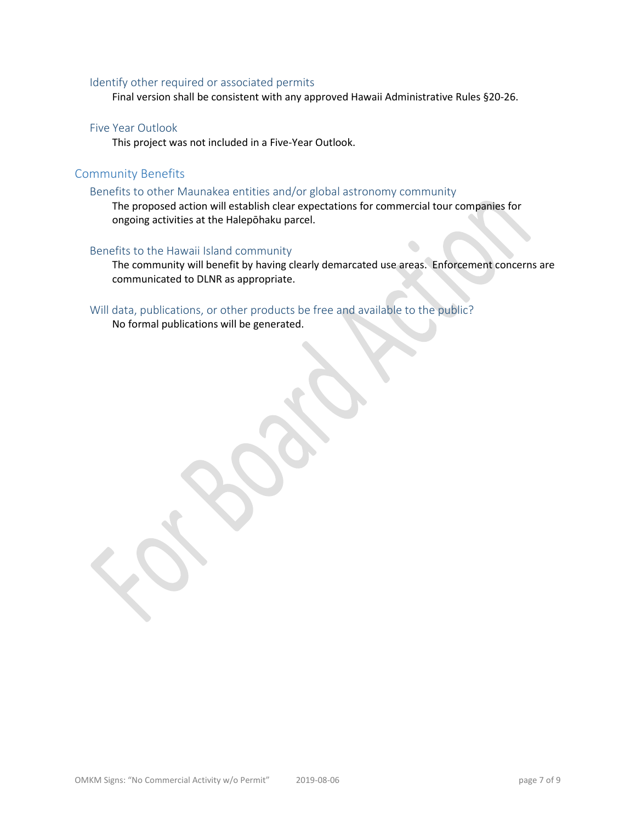#### Identify other required or associated permits

Final version shall be consistent with any approved Hawaii Administrative Rules §20-26.

#### Five Year Outlook

This project was not included in a Five-Year Outlook.

## Community Benefits

#### Benefits to other Maunakea entities and/or global astronomy community

The proposed action will establish clear expectations for commercial tour companies for ongoing activities at the Halepōhaku parcel.

#### Benefits to the Hawaii Island community

The community will benefit by having clearly demarcated use areas. Enforcement concerns are communicated to DLNR as appropriate.

## Will data, publications, or other products be free and available to the public?

No formal publications will be generated.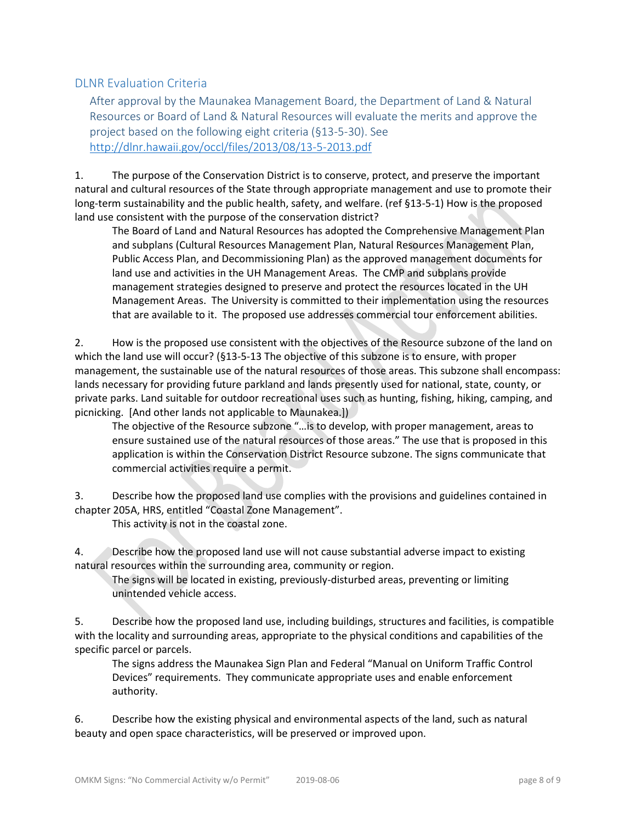# DLNR Evaluation Criteria

After approval by the Maunakea Management Board, the Department of Land & Natural Resources or Board of Land & Natural Resources will evaluate the merits and approve the project based on the following eight criteria (§13-5-30). See <http://dlnr.hawaii.gov/occl/files/2013/08/13-5-2013.pdf>

1. The purpose of the Conservation District is to conserve, protect, and preserve the important natural and cultural resources of the State through appropriate management and use to promote their long-term sustainability and the public health, safety, and welfare. (ref §13-5-1) How is the proposed land use consistent with the purpose of the conservation district?

The Board of Land and Natural Resources has adopted the Comprehensive Management Plan and subplans (Cultural Resources Management Plan, Natural Resources Management Plan, Public Access Plan, and Decommissioning Plan) as the approved management documents for land use and activities in the UH Management Areas. The CMP and subplans provide management strategies designed to preserve and protect the resources located in the UH Management Areas. The University is committed to their implementation using the resources that are available to it. The proposed use addresses commercial tour enforcement abilities.

2. How is the proposed use consistent with the objectives of the Resource subzone of the land on which the land use will occur? (§13-5-13 The objective of this subzone is to ensure, with proper management, the sustainable use of the natural resources of those areas. This subzone shall encompass: lands necessary for providing future parkland and lands presently used for national, state, county, or private parks. Land suitable for outdoor recreational uses such as hunting, fishing, hiking, camping, and picnicking. [And other lands not applicable to Maunakea.])

The objective of the Resource subzone "…is to develop, with proper management, areas to ensure sustained use of the natural resources of those areas." The use that is proposed in this application is within the Conservation District Resource subzone. The signs communicate that commercial activities require a permit.

3. Describe how the proposed land use complies with the provisions and guidelines contained in chapter 205A, HRS, entitled "Coastal Zone Management".

This activity is not in the coastal zone.

4. Describe how the proposed land use will not cause substantial adverse impact to existing natural resources within the surrounding area, community or region.

The signs will be located in existing, previously-disturbed areas, preventing or limiting unintended vehicle access.

5. Describe how the proposed land use, including buildings, structures and facilities, is compatible with the locality and surrounding areas, appropriate to the physical conditions and capabilities of the specific parcel or parcels.

The signs address the Maunakea Sign Plan and Federal "Manual on Uniform Traffic Control Devices" requirements. They communicate appropriate uses and enable enforcement authority.

6. Describe how the existing physical and environmental aspects of the land, such as natural beauty and open space characteristics, will be preserved or improved upon.